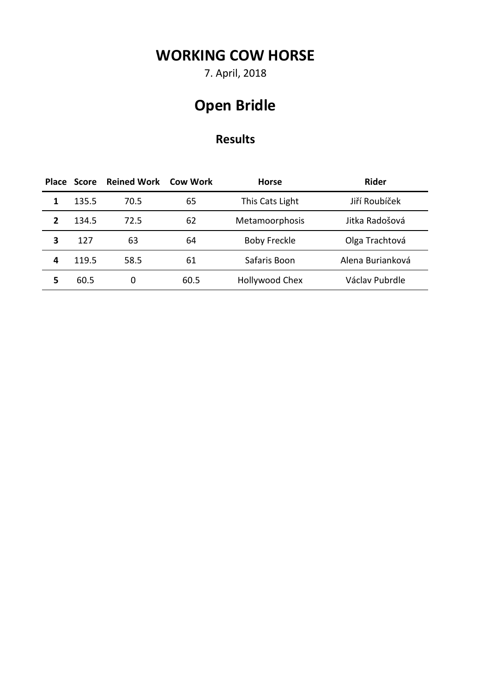7. April, 2018

# **Open Bridle**

|   | Place Score | <b>Reined Work</b> | <b>Cow Work</b> | <b>Horse</b>        | <b>Rider</b>     |
|---|-------------|--------------------|-----------------|---------------------|------------------|
| 1 | 135.5       | 70.5               | 65              | This Cats Light     | Jiří Roubíček    |
| 2 | 134.5       | 72.5               | 62              | Metamoorphosis      | Jitka Radošová   |
| 3 | 127         | 63                 | 64              | <b>Boby Freckle</b> | Olga Trachtová   |
| 4 | 119.5       | 58.5               | 61              | Safaris Boon        | Alena Burianková |
| 5 | 60.5        | 0                  | 60.5            | Hollywood Chex      | Václav Pubrdle   |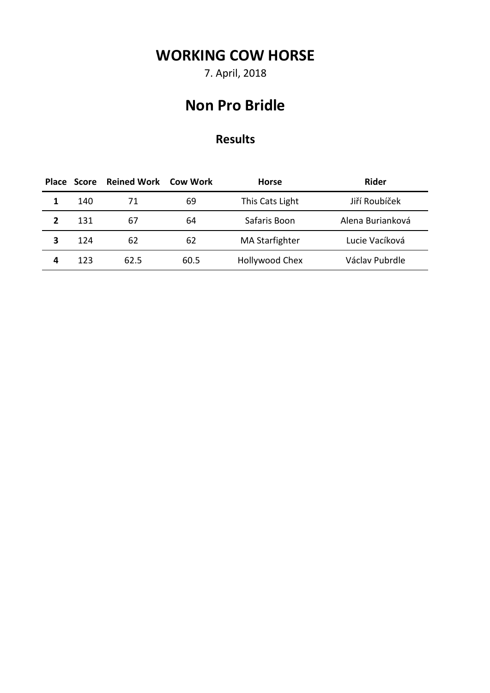7. April, 2018

#### **Non Pro Bridle**

|   | Place Score | Reined Work | Cow Work | <b>Horse</b>          | <b>Rider</b>     |
|---|-------------|-------------|----------|-----------------------|------------------|
|   | 140         | 71          | 69       | This Cats Light       | Jiří Roubíček    |
|   | 131         | b/          | 64       | Safaris Boon          | Alena Burianková |
| 3 | 124         | 62          | 62       | <b>MA Starfighter</b> | Lucie Vacíková   |
| 4 | 123         | 62.5        | 60.5     | Hollywood Chex        | Václav Pubrdle   |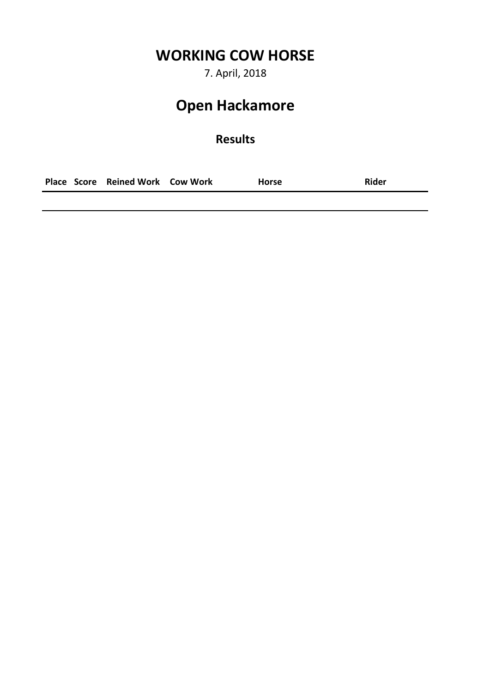7. April, 2018

# **Open Hackamore**

#### **Results**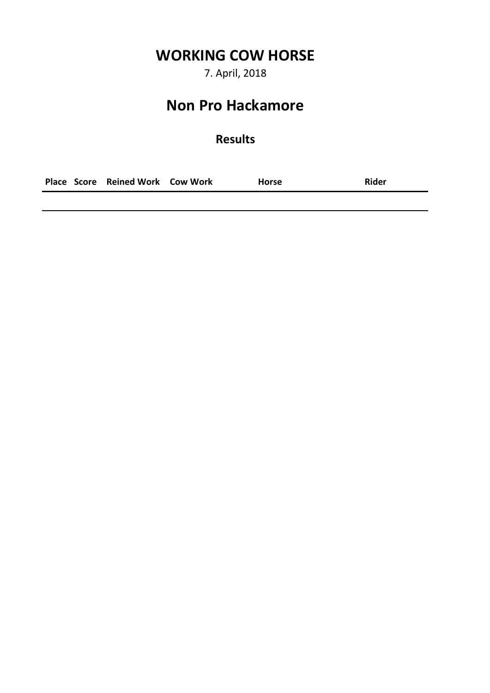7. April, 2018

#### **Non Pro Hackamore**

#### **Results**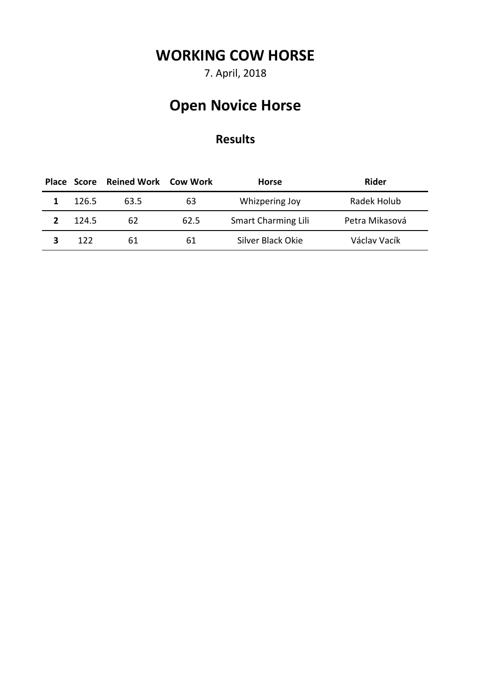7. April, 2018

# **Open Novice Horse**

|       | Place Score Reined Work Cow Work |      | Horse                      | <b>Rider</b>   |
|-------|----------------------------------|------|----------------------------|----------------|
| 126.5 | 63.5                             | 63   | Whizpering Joy             | Radek Holub    |
| 124.5 | 62                               | 62.5 | <b>Smart Charming Lili</b> | Petra Mikasová |
| 122   | 61                               | 61   | Silver Black Okie          | Václav Vacík   |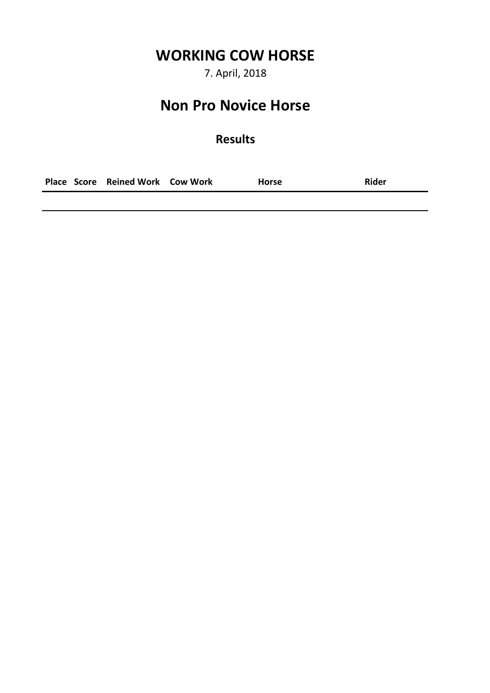7. April, 2018

#### **Non Pro Novice Horse**

#### **Results**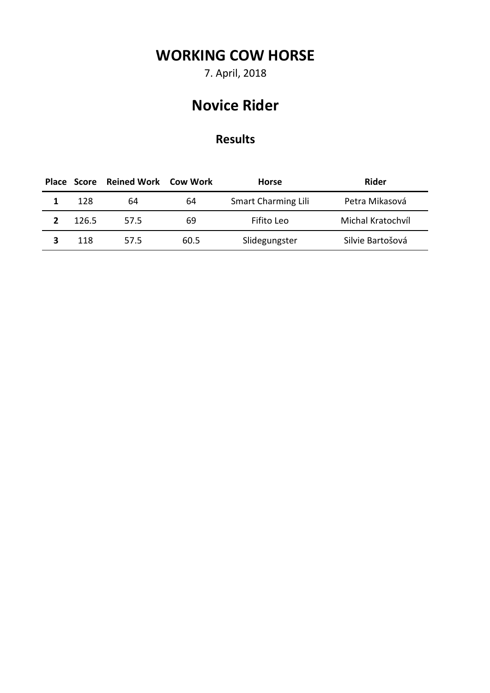7. April, 2018

## **Novice Rider**

|       | Place Score Reined Work Cow Work |      | Horse                      | <b>Rider</b>      |
|-------|----------------------------------|------|----------------------------|-------------------|
| 128   | 64                               | 64   | <b>Smart Charming Lili</b> | Petra Mikasová    |
| 126.5 | 57.5                             | 69   | Fifito Leo                 | Michal Kratochvíl |
| 118   | 57.5                             | 60.5 | Slidegungster              | Silvie Bartošová  |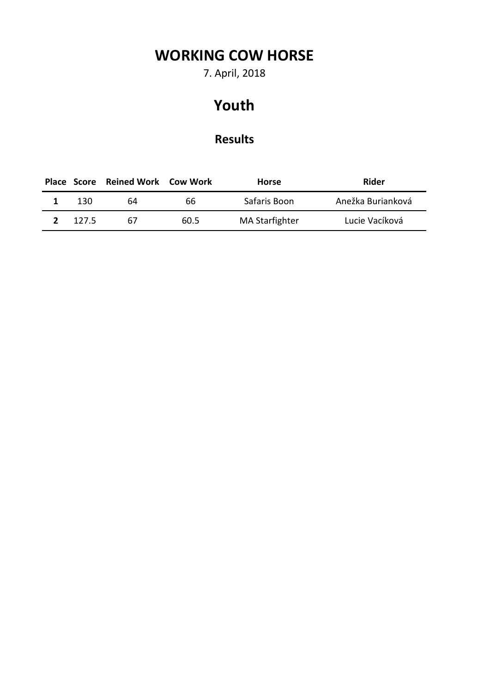7. April, 2018

### **Youth**

|       | Place Score Reined Work Cow Work |      | <b>Horse</b>          | Rider             |
|-------|----------------------------------|------|-----------------------|-------------------|
| 130   | 64                               | 66   | Safaris Boon          | Anežka Burianková |
| 127.5 | 67                               | 60.5 | <b>MA Starfighter</b> | Lucie Vacíková    |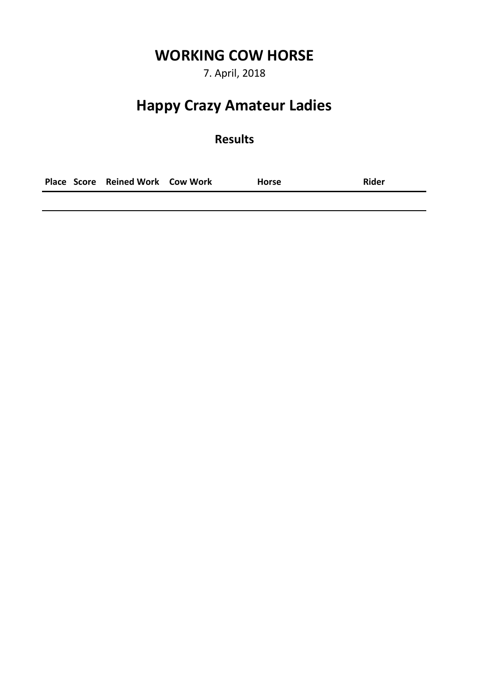7. April, 2018

### **Happy Crazy Amateur Ladies**

#### **Results**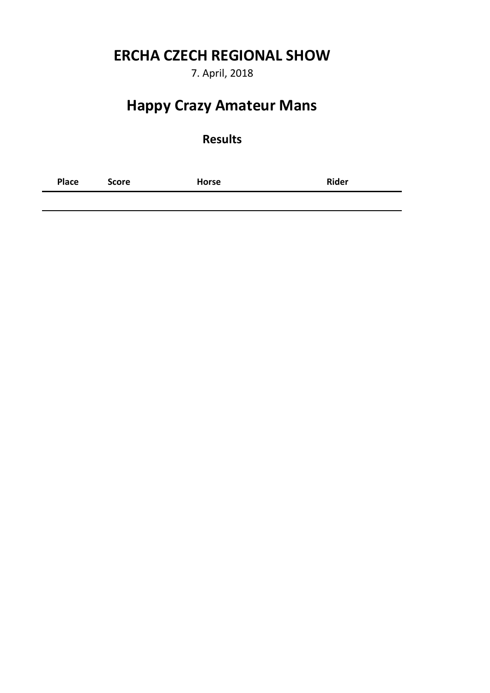#### **ERCHA CZECH REGIONAL SHOW**

7. April, 2018

### **Happy Crazy Amateur Mans**

#### **Results**

**Place Score Horse Rider**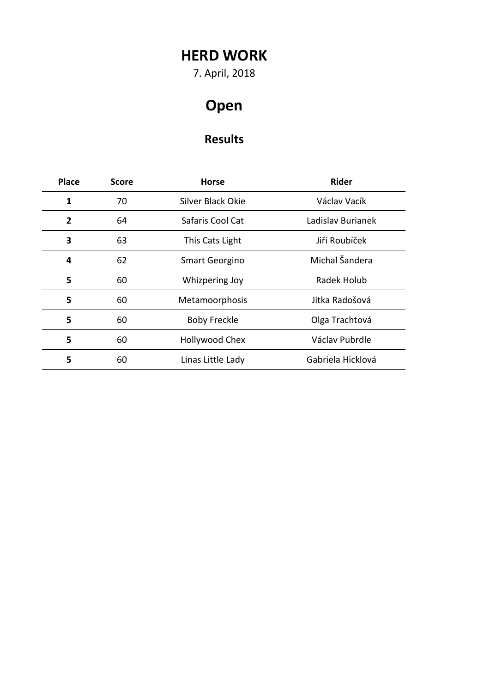## **HERD WORK**

7. April, 2018

# **Open**

| <b>Place</b>   | <b>Score</b> | <b>Horse</b>          | <b>Rider</b>      |
|----------------|--------------|-----------------------|-------------------|
| 1              | 70           | Silver Black Okie     | Václav Vacík      |
| $\overline{2}$ | 64           | Safaris Cool Cat      | Ladislav Burianek |
| 3              | 63           | This Cats Light       | Jiří Roubíček     |
| 4              | 62           | <b>Smart Georgino</b> | Michal Šandera    |
| 5              | 60           | Whizpering Joy        | Radek Holub       |
| 5              | 60           | Metamoorphosis        | Jitka Radošová    |
| 5              | 60           | <b>Boby Freckle</b>   | Olga Trachtová    |
| 5              | 60           | Hollywood Chex        | Václav Pubrdle    |
| 5              | 60           | Linas Little Lady     | Gabriela Hicklová |